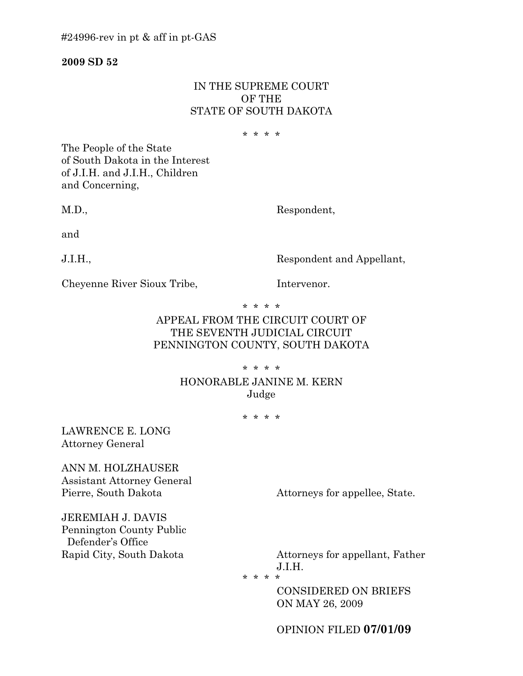**2009 SD 52**

### IN THE SUPREME COURT OF THE STATE OF SOUTH DAKOTA

\* \* \* \*

The People of the State of South Dakota in the Interest of J.I.H. and J.I.H., Children and Concerning,

M.D., Respondent,

and

J.I.H., Respondent and Appellant,

Cheyenne River Sioux Tribe. Intervenor.

\* \* \* \*

# APPEAL FROM THE CIRCUIT COURT OF THE SEVENTH JUDICIAL CIRCUIT PENNINGTON COUNTY, SOUTH DAKOTA

\* \* \* \*

## HONORABLE JANINE M. KERN Judge

\* \* \* \*

LAWRENCE E. LONG Attorney General

ANN M. HOLZHAUSER Assistant Attorney General

Pierre, South Dakota Attorneys for appellee, State.

JEREMIAH J. DAVIS Pennington County Public Defender's Office

Rapid City, South Dakota **Attorneys** for appellant, Father J.I.H.

\* \* \* \*

CONSIDERED ON BRIEFS ON MAY 26, 2009

OPINION FILED **07/01/09**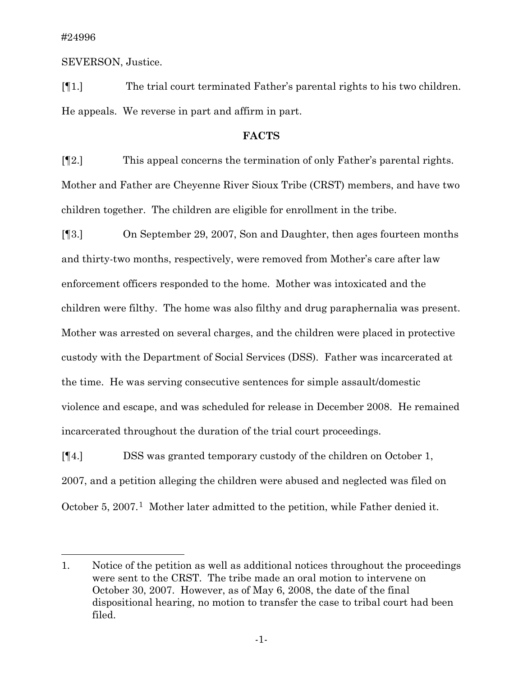$\overline{a}$ 

SEVERSON, Justice.

[¶1.] The trial court terminated Father's parental rights to his two children. He appeals. We reverse in part and affirm in part.

### **FACTS**

[¶2.] This appeal concerns the termination of only Father's parental rights. Mother and Father are Cheyenne River Sioux Tribe (CRST) members, and have two children together. The children are eligible for enrollment in the tribe.

[¶3.] On September 29, 2007, Son and Daughter, then ages fourteen months and thirty-two months, respectively, were removed from Mother's care after law enforcement officers responded to the home. Mother was intoxicated and the children were filthy. The home was also filthy and drug paraphernalia was present. Mother was arrested on several charges, and the children were placed in protective custody with the Department of Social Services (DSS). Father was incarcerated at the time. He was serving consecutive sentences for simple assault/domestic violence and escape, and was scheduled for release in December 2008. He remained incarcerated throughout the duration of the trial court proceedings.

[¶4.] DSS was granted temporary custody of the children on October 1, 2007, and a petition alleging the children were abused and neglected was filed on October 5, 2007.<sup>[1](#page-1-0)</sup> Mother later admitted to the petition, while Father denied it.

<span id="page-1-0"></span><sup>1.</sup> Notice of the petition as well as additional notices throughout the proceedings were sent to the CRST. The tribe made an oral motion to intervene on October 30, 2007. However, as of May 6, 2008, the date of the final dispositional hearing, no motion to transfer the case to tribal court had been filed.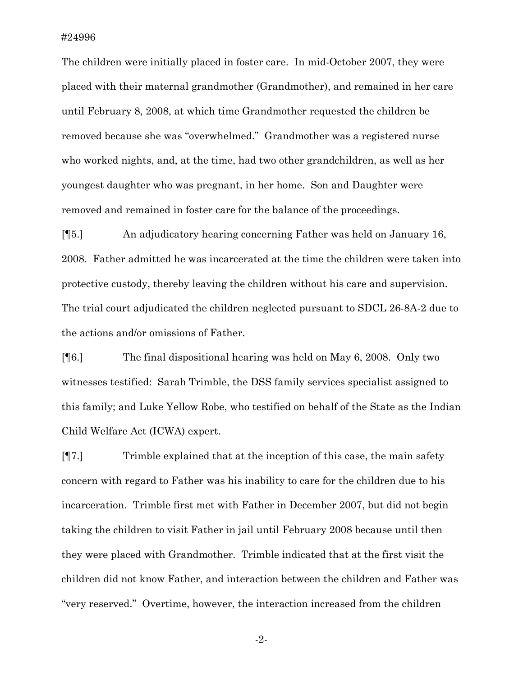The children were initially placed in foster care. In mid-October 2007, they were placed with their maternal grandmother (Grandmother), and remained in her care until February 8, 2008, at which time Grandmother requested the children be removed because she was "overwhelmed." Grandmother was a registered nurse who worked nights, and, at the time, had two other grandchildren, as well as her youngest daughter who was pregnant, in her home. Son and Daughter were removed and remained in foster care for the balance of the proceedings.

[¶5.] An adjudicatory hearing concerning Father was held on January 16, 2008. Father admitted he was incarcerated at the time the children were taken into protective custody, thereby leaving the children without his care and supervision. The trial court adjudicated the children neglected pursuant to SDCL 26-8A-2 due to the actions and/or omissions of Father.

[¶6.] The final dispositional hearing was held on May 6, 2008. Only two witnesses testified: Sarah Trimble, the DSS family services specialist assigned to this family; and Luke Yellow Robe, who testified on behalf of the State as the Indian Child Welfare Act (ICWA) expert.

[¶7.] Trimble explained that at the inception of this case, the main safety concern with regard to Father was his inability to care for the children due to his incarceration. Trimble first met with Father in December 2007, but did not begin taking the children to visit Father in jail until February 2008 because until then they were placed with Grandmother. Trimble indicated that at the first visit the children did not know Father, and interaction between the children and Father was "very reserved." Overtime, however, the interaction increased from the children

-2-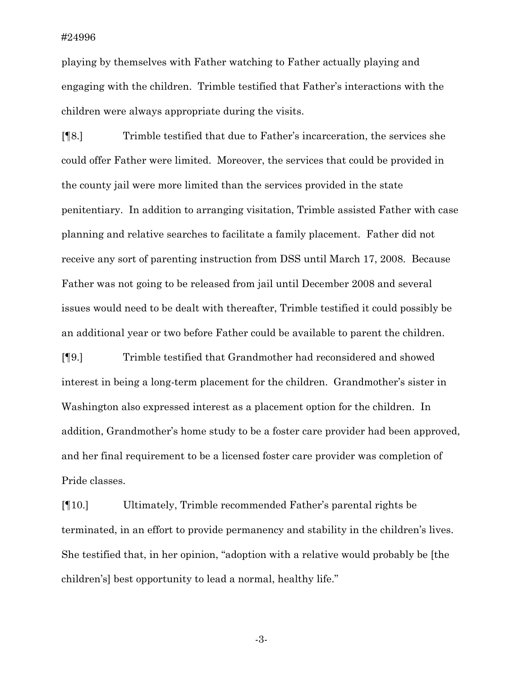playing by themselves with Father watching to Father actually playing and engaging with the children. Trimble testified that Father's interactions with the children were always appropriate during the visits.

[¶8.] Trimble testified that due to Father's incarceration, the services she could offer Father were limited. Moreover, the services that could be provided in the county jail were more limited than the services provided in the state penitentiary. In addition to arranging visitation, Trimble assisted Father with case planning and relative searches to facilitate a family placement. Father did not receive any sort of parenting instruction from DSS until March 17, 2008. Because Father was not going to be released from jail until December 2008 and several issues would need to be dealt with thereafter, Trimble testified it could possibly be an additional year or two before Father could be available to parent the children.

[¶9.] Trimble testified that Grandmother had reconsidered and showed interest in being a long-term placement for the children. Grandmother's sister in Washington also expressed interest as a placement option for the children. In addition, Grandmother's home study to be a foster care provider had been approved, and her final requirement to be a licensed foster care provider was completion of Pride classes.

[¶10.] Ultimately, Trimble recommended Father's parental rights be terminated, in an effort to provide permanency and stability in the children's lives. She testified that, in her opinion, "adoption with a relative would probably be [the children's] best opportunity to lead a normal, healthy life."

-3-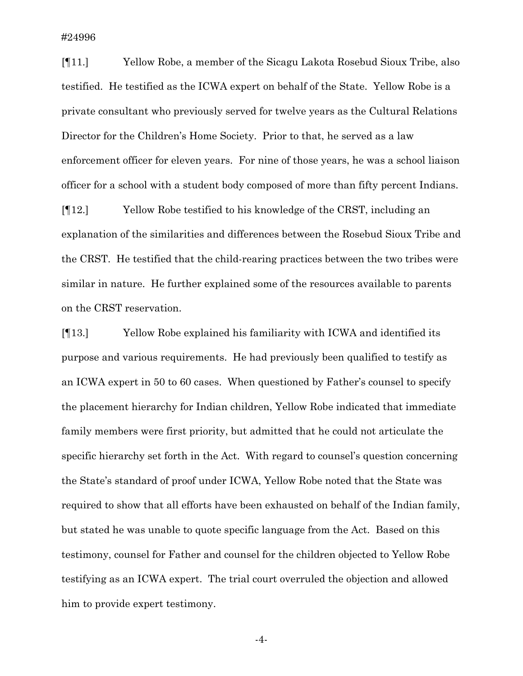[¶11.] Yellow Robe, a member of the Sicagu Lakota Rosebud Sioux Tribe, also testified. He testified as the ICWA expert on behalf of the State. Yellow Robe is a private consultant who previously served for twelve years as the Cultural Relations Director for the Children's Home Society. Prior to that, he served as a law enforcement officer for eleven years. For nine of those years, he was a school liaison officer for a school with a student body composed of more than fifty percent Indians.

[¶12.] Yellow Robe testified to his knowledge of the CRST, including an explanation of the similarities and differences between the Rosebud Sioux Tribe and the CRST. He testified that the child-rearing practices between the two tribes were similar in nature. He further explained some of the resources available to parents on the CRST reservation.

[¶13.] Yellow Robe explained his familiarity with ICWA and identified its purpose and various requirements. He had previously been qualified to testify as an ICWA expert in 50 to 60 cases. When questioned by Father's counsel to specify the placement hierarchy for Indian children, Yellow Robe indicated that immediate family members were first priority, but admitted that he could not articulate the specific hierarchy set forth in the Act. With regard to counsel's question concerning the State's standard of proof under ICWA, Yellow Robe noted that the State was required to show that all efforts have been exhausted on behalf of the Indian family, but stated he was unable to quote specific language from the Act. Based on this testimony, counsel for Father and counsel for the children objected to Yellow Robe testifying as an ICWA expert. The trial court overruled the objection and allowed him to provide expert testimony.

-4-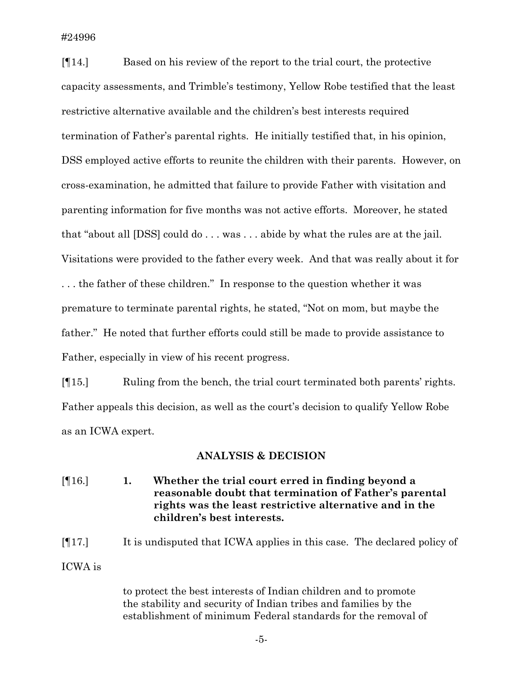[¶14.] Based on his review of the report to the trial court, the protective capacity assessments, and Trimble's testimony, Yellow Robe testified that the least restrictive alternative available and the children's best interests required termination of Father's parental rights. He initially testified that, in his opinion, DSS employed active efforts to reunite the children with their parents. However, on cross-examination, he admitted that failure to provide Father with visitation and parenting information for five months was not active efforts. Moreover, he stated that "about all [DSS] could do . . . was . . . abide by what the rules are at the jail. Visitations were provided to the father every week. And that was really about it for . . . the father of these children." In response to the question whether it was premature to terminate parental rights, he stated, "Not on mom, but maybe the father." He noted that further efforts could still be made to provide assistance to Father, especially in view of his recent progress.

[¶15.] Ruling from the bench, the trial court terminated both parents' rights. Father appeals this decision, as well as the court's decision to qualify Yellow Robe as an ICWA expert.

#### **ANALYSIS & DECISION**

[¶16.] **1. Whether the trial court erred in finding beyond a reasonable doubt that termination of Father's parental rights was the least restrictive alternative and in the children's best interests.** 

[¶17.] It is undisputed that ICWA applies in this case. The declared policy of ICWA is

> to protect the best interests of Indian children and to promote the stability and security of Indian tribes and families by the establishment of minimum Federal standards for the removal of

> > -5-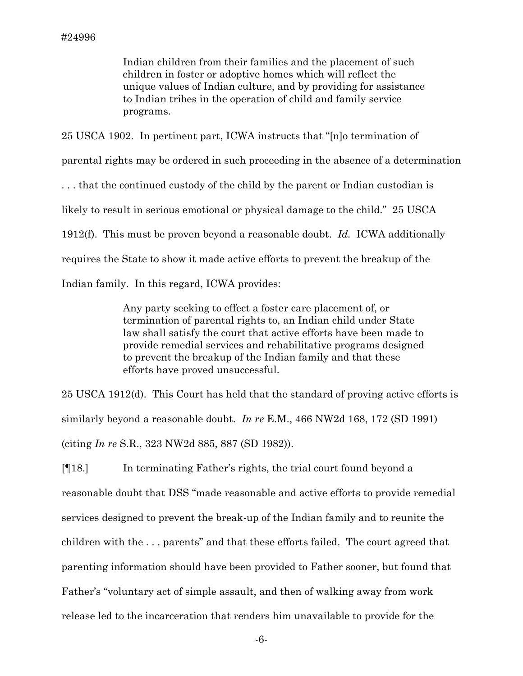Indian children from their families and the placement of such children in foster or adoptive homes which will reflect the unique values of Indian culture, and by providing for assistance to Indian tribes in the operation of child and family service programs.

25 USCA 1902. In pertinent part, ICWA instructs that "[n]o termination of parental rights may be ordered in such proceeding in the absence of a determination . . . that the continued custody of the child by the parent or Indian custodian is likely to result in serious emotional or physical damage to the child." 25 USCA 1912(f). This must be proven beyond a reasonable doubt. *Id.* ICWA additionally requires the State to show it made active efforts to prevent the breakup of the Indian family. In this regard, ICWA provides:

> Any party seeking to effect a foster care placement of, or termination of parental rights to, an Indian child under State law shall satisfy the court that active efforts have been made to provide remedial services and rehabilitative programs designed to prevent the breakup of the Indian family and that these efforts have proved unsuccessful.

25 USCA 1912(d). This Court has held that the standard of proving active efforts is similarly beyond a reasonable doubt. *In re* E.M., 466 NW2d 168, 172 (SD 1991) (citing *In re* S.R., 323 NW2d 885, 887 (SD 1982)).

[¶18.] In terminating Father's rights, the trial court found beyond a reasonable doubt that DSS "made reasonable and active efforts to provide remedial services designed to prevent the break-up of the Indian family and to reunite the children with the . . . parents" and that these efforts failed. The court agreed that parenting information should have been provided to Father sooner, but found that Father's "voluntary act of simple assault, and then of walking away from work release led to the incarceration that renders him unavailable to provide for the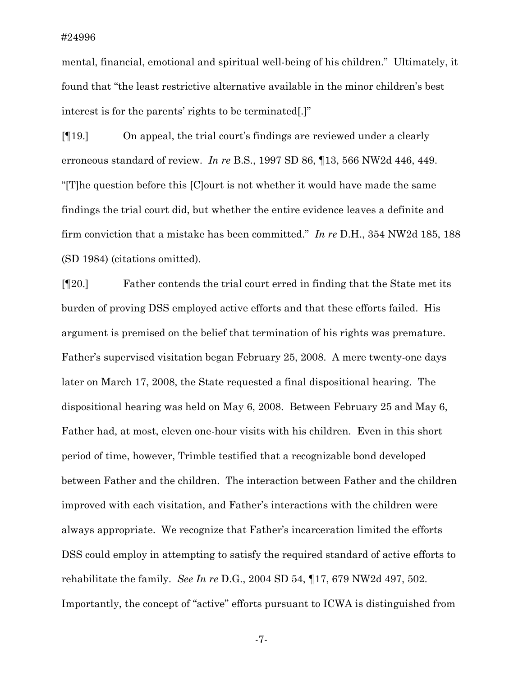mental, financial, emotional and spiritual well-being of his children." Ultimately, it found that "the least restrictive alternative available in the minor children's best interest is for the parents' rights to be terminated[.]"

[¶19.] On appeal, the trial court's findings are reviewed under a clearly erroneous standard of review. *In re* B.S., 1997 SD 86, ¶13, 566 NW2d 446, 449. "[T]he question before this [C]ourt is not whether it would have made the same findings the trial court did, but whether the entire evidence leaves a definite and firm conviction that a mistake has been committed." *In re* D.H., 354 NW2d 185, 188 (SD 1984) (citations omitted).

[¶20.] Father contends the trial court erred in finding that the State met its burden of proving DSS employed active efforts and that these efforts failed. His argument is premised on the belief that termination of his rights was premature. Father's supervised visitation began February 25, 2008. A mere twenty-one days later on March 17, 2008, the State requested a final dispositional hearing. The dispositional hearing was held on May 6, 2008. Between February 25 and May 6, Father had, at most, eleven one-hour visits with his children. Even in this short period of time, however, Trimble testified that a recognizable bond developed between Father and the children. The interaction between Father and the children improved with each visitation, and Father's interactions with the children were always appropriate. We recognize that Father's incarceration limited the efforts DSS could employ in attempting to satisfy the required standard of active efforts to rehabilitate the family. *See In re* D.G., 2004 SD 54, ¶17, 679 NW2d 497, 502. Importantly, the concept of "active" efforts pursuant to ICWA is distinguished from

-7-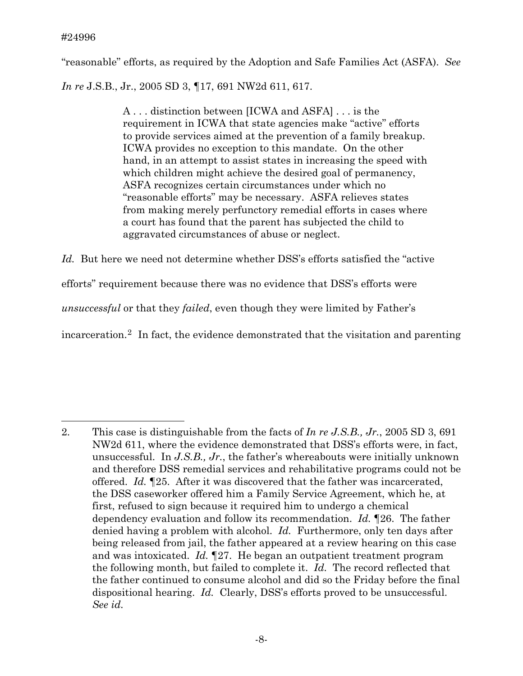$\overline{a}$ 

"reasonable" efforts, as required by the Adoption and Safe Families Act (ASFA). *See*

*In re* J.S.B., Jr., 2005 SD 3, ¶17, 691 NW2d 611, 617.

A . . . distinction between [ICWA and ASFA] . . . is the requirement in ICWA that state agencies make "active" efforts to provide services aimed at the prevention of a family breakup. ICWA provides no exception to this mandate. On the other hand, in an attempt to assist states in increasing the speed with which children might achieve the desired goal of permanency, ASFA recognizes certain circumstances under which no "reasonable efforts" may be necessary. ASFA relieves states from making merely perfunctory remedial efforts in cases where a court has found that the parent has subjected the child to aggravated circumstances of abuse or neglect.

*Id.* But here we need not determine whether DSS's efforts satisfied the "active efforts" requirement because there was no evidence that DSS's efforts were *unsuccessful* or that they *failed*, even though they were limited by Father's incarceration.[2](#page-8-0) In fact, the evidence demonstrated that the visitation and parenting

<span id="page-8-0"></span><sup>2.</sup> This case is distinguishable from the facts of *In re J.S.B., Jr.*, 2005 SD 3, 691 NW2d 611, where the evidence demonstrated that DSS's efforts were, in fact, unsuccessful. In *J.S.B., Jr.*, the father's whereabouts were initially unknown and therefore DSS remedial services and rehabilitative programs could not be offered. *Id.* ¶25. After it was discovered that the father was incarcerated, the DSS caseworker offered him a Family Service Agreement, which he, at first, refused to sign because it required him to undergo a chemical dependency evaluation and follow its recommendation. *Id.* ¶26. The father denied having a problem with alcohol. *Id.* Furthermore, only ten days after being released from jail, the father appeared at a review hearing on this case and was intoxicated. *Id.* ¶27. He began an outpatient treatment program the following month, but failed to complete it. *Id.* The record reflected that the father continued to consume alcohol and did so the Friday before the final dispositional hearing. *Id.* Clearly, DSS's efforts proved to be unsuccessful. *See id.*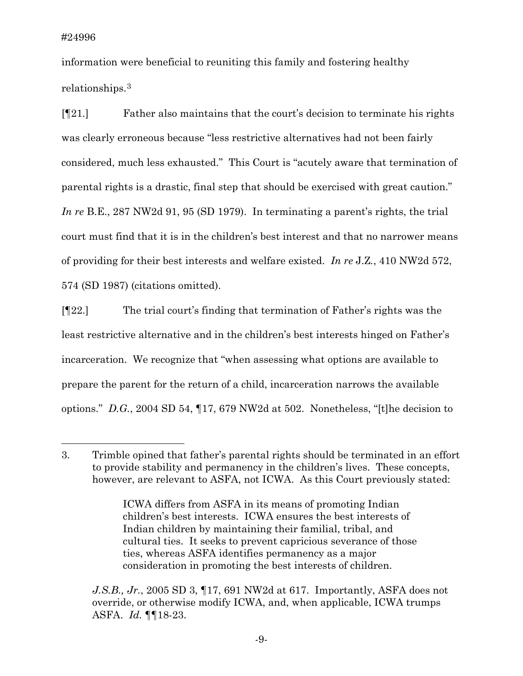$\overline{a}$ 

information were beneficial to reuniting this family and fostering healthy relationships[.3](#page-9-0)

[¶21.] Father also maintains that the court's decision to terminate his rights was clearly erroneous because "less restrictive alternatives had not been fairly considered, much less exhausted." This Court is "acutely aware that termination of parental rights is a drastic, final step that should be exercised with great caution." *In re* B.E., 287 NW2d 91, 95 (SD 1979). In terminating a parent's rights, the trial court must find that it is in the children's best interest and that no narrower means of providing for their best interests and welfare existed. *In re* J.Z*.*, 410 NW2d 572, 574 (SD 1987) (citations omitted).

[¶22.] The trial court's finding that termination of Father's rights was the least restrictive alternative and in the children's best interests hinged on Father's incarceration. We recognize that "when assessing what options are available to prepare the parent for the return of a child, incarceration narrows the available options." *D.G.*, 2004 SD 54, ¶17, 679 NW2d at 502. Nonetheless, "[t]he decision to

<span id="page-9-0"></span><sup>3.</sup> Trimble opined that father's parental rights should be terminated in an effort to provide stability and permanency in the children's lives. These concepts, however, are relevant to ASFA, not ICWA. As this Court previously stated:

ICWA differs from ASFA in its means of promoting Indian children's best interests. ICWA ensures the best interests of Indian children by maintaining their familial, tribal, and cultural ties. It seeks to prevent capricious severance of those ties, whereas ASFA identifies permanency as a major consideration in promoting the best interests of children.

*J.S.B., Jr.*, 2005 SD 3, ¶17, 691 NW2d at 617. Importantly, ASFA does not override, or otherwise modify ICWA, and, when applicable, ICWA trumps ASFA. *Id.* ¶¶18-23.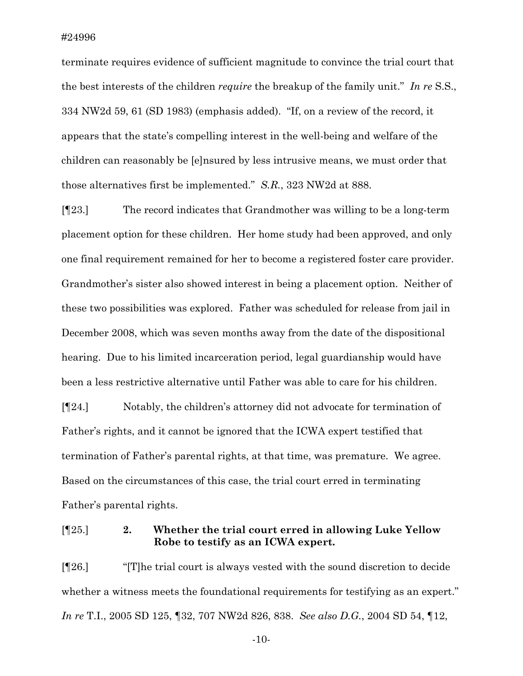terminate requires evidence of sufficient magnitude to convince the trial court that the best interests of the children *require* the breakup of the family unit." *In re* S.S., 334 NW2d 59, 61 (SD 1983) (emphasis added). "If, on a review of the record, it appears that the state's compelling interest in the well-being and welfare of the children can reasonably be [e]nsured by less intrusive means, we must order that those alternatives first be implemented." *S.R.*, 323 NW2d at 888.

[¶23.] The record indicates that Grandmother was willing to be a long-term placement option for these children. Her home study had been approved, and only one final requirement remained for her to become a registered foster care provider. Grandmother's sister also showed interest in being a placement option. Neither of these two possibilities was explored. Father was scheduled for release from jail in December 2008, which was seven months away from the date of the dispositional hearing. Due to his limited incarceration period, legal guardianship would have been a less restrictive alternative until Father was able to care for his children.

[¶24.] Notably, the children's attorney did not advocate for termination of Father's rights, and it cannot be ignored that the ICWA expert testified that termination of Father's parental rights, at that time, was premature. We agree. Based on the circumstances of this case, the trial court erred in terminating Father's parental rights.

[¶25.] **2. Whether the trial court erred in allowing Luke Yellow Robe to testify as an ICWA expert.** 

[¶26.] "[T]he trial court is always vested with the sound discretion to decide whether a witness meets the foundational requirements for testifying as an expert." *In re* T.I., 2005 SD 125, ¶32, 707 NW2d 826, 838. *See also D.G.*, 2004 SD 54, ¶12,

-10-